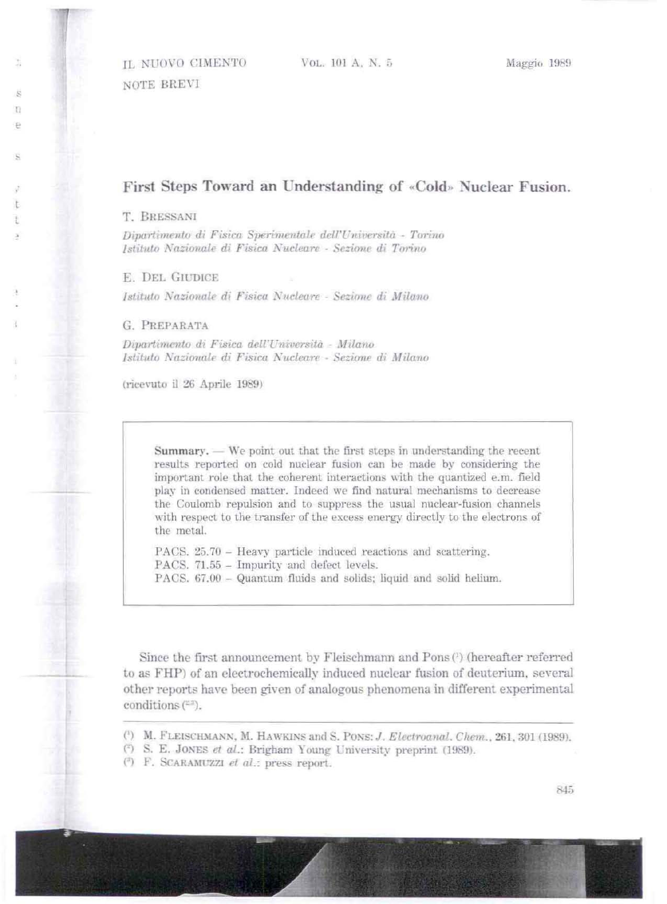IL NUOVO CIMENTO NOTE BREVI

ă.

S n F)

 $\bar{N}$ 

t

ŧ

Maggio 1989

## First Steps Toward an Understanding of «Cold» Nuclear Fusion.

T. BRESSANI

Dipartimento di Fisica Sperimentale dell'Università - Torino Istituto Nazionale di Fisica Nucleare - Sezione di Torino

E. DEL GIUDICE

Istituto Nazionale di Fisica Nucleare - Sezione di Milano

G. PREPARATA

Dipartimento di Fisica dell'Università - Milano Istituto Nazionale di Fisica Nucleare - Sezione di Milano

(ricevuto il 26 Aprile 1989)

 $Summary.$  We point out that the first steps in understanding the recent results reported on cold nuclear fusion can be made by considering the important role that the coherent interactions with the quantized e.m. field play in condensed matter. Indeed we find natural mechanisms to decrease the Coulomb repulsion and to suppress the usual nuclear-fusion channels with respect to the transfer of the excess energy directly to the electrons of the metal.

PACS. 25.70 - Heavy particle induced reactions and scattering. PACS. 71.55 - Impurity and defect levels. PACS. 67.00 - Quantum fluids and solids; liquid and solid helium.

Since the first announcement by Fleischmann and Pons<sup>(1)</sup> (hereafter referred to as FHP) of an electrochemically induced nuclear fusion of deuterium, several other reports have been given of analogous phenomena in different experimental conditions  $(22)$ .

<sup>(1989).</sup> M. FLEISCHMANN, M. HAWKINS and S. PONS: J. Electroanal. Chem., 261, 301 (1989).

<sup>(2)</sup> S. E. JONES et al.: Brigham Young University preprint (1989).

<sup>&</sup>lt;sup>(3)</sup> F. SCARAMUZZI et al.: press report.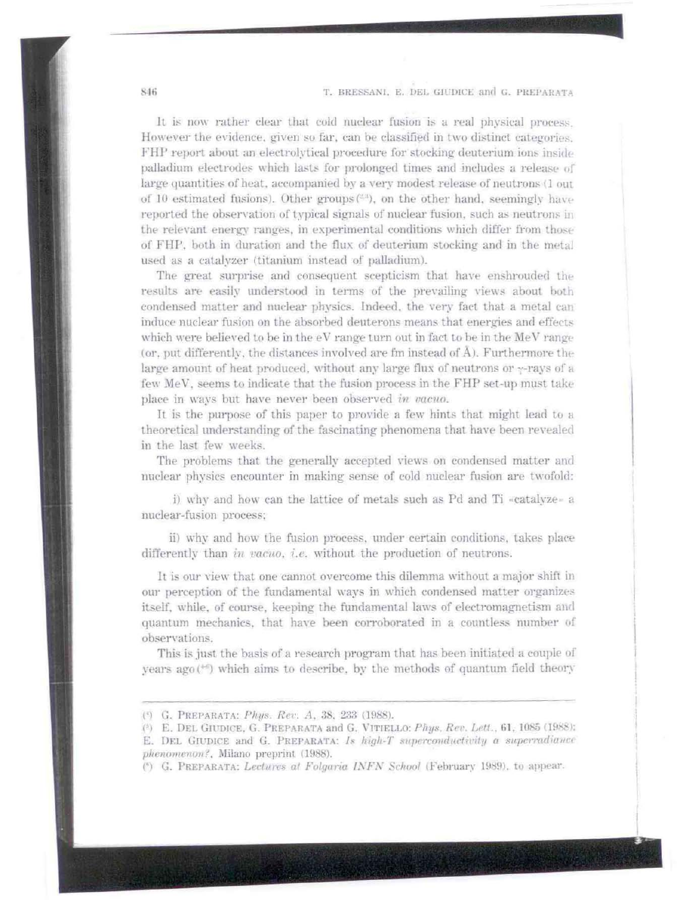## T. BRESSANI, E. DEL GIUDICE and G. PREPARATA

It is now rather clear that cold nuclear fusion is a real physical process. However the evidence, given so far, can be classified in two distinct categories. FHP report about an electrolytical procedure for stocking deuterium ions inside palladium electrodes which lasts for prolonged times and includes a release of large quantities of heat, accompanied by a very modest release of neutrons (1 out of 10 estimated fusions). Other groups  $(23)$ , on the other hand, seemingly have reported the observation of typical signals of nuclear fusion, such as neutrons in the relevant energy ranges, in experimental conditions which differ from those of FHP, both in duration and the flux of deuterium stocking and in the metal used as a catalyzer (titanium instead of palladium).

The great surprise and consequent scepticism that have enshrouded the results are easily understood in terms of the prevailing views about both condensed matter and nuclear physics. Indeed, the very fact that a metal can induce nuclear fusion on the absorbed deuterons means that energies and effects which were believed to be in the eV range turn out in fact to be in the MeV range (or, put differently, the distances involved are fm instead of A). Furthermore the large amount of heat produced, without any large flux of neutrons or  $\sim$ -rays of a few MeV, seems to indicate that the fusion process in the FHP set-up must take place in ways but have never been observed in vacuo.

It is the purpose of this paper to provide a few hints that might lead to a theoretical understanding of the fascinating phenomena that have been revealed in the last few weeks.

The problems that the generally accepted views on condensed matter and nuclear physics encounter in making sense of cold nuclear fusion are twofold:

i) why and how can the lattice of metals such as Pd and Ti «catalyze» a nuclear-fusion process;

ii) why and how the fusion process, under certain conditions, takes place differently than in vacuo, *i.e.* without the production of neutrons.

It is our view that one cannot overcome this dilemma without a major shift in our perception of the fundamental ways in which condensed matter organizes itself, while, of course, keeping the fundamental laws of electromagnetism and quantum mechanics, that have been corroborated in a countless number of observations.

This is just the basis of a research program that has been initiated a couple of years  $ago^{(45)}$  which aims to describe, by the methods of quantum field theory

846

<sup>(5)</sup> G. PREPARATA: Phys. Rev. A, 38, 233 (1988).

<sup>(2)</sup> E. DEL GIUDICE, G. PREPARATA and G. VITIELLO: Phys. Rev. Lett., 61, 1085 (1988): E. DEL GIUDICE and G. PREPARATA: Is high-T superconductivity a superradiance phenomenon?, Milano preprint (1988).

<sup>(\*)</sup> G. PREPARATA: Lectures at Folgaria INFN School (February 1989), to appear.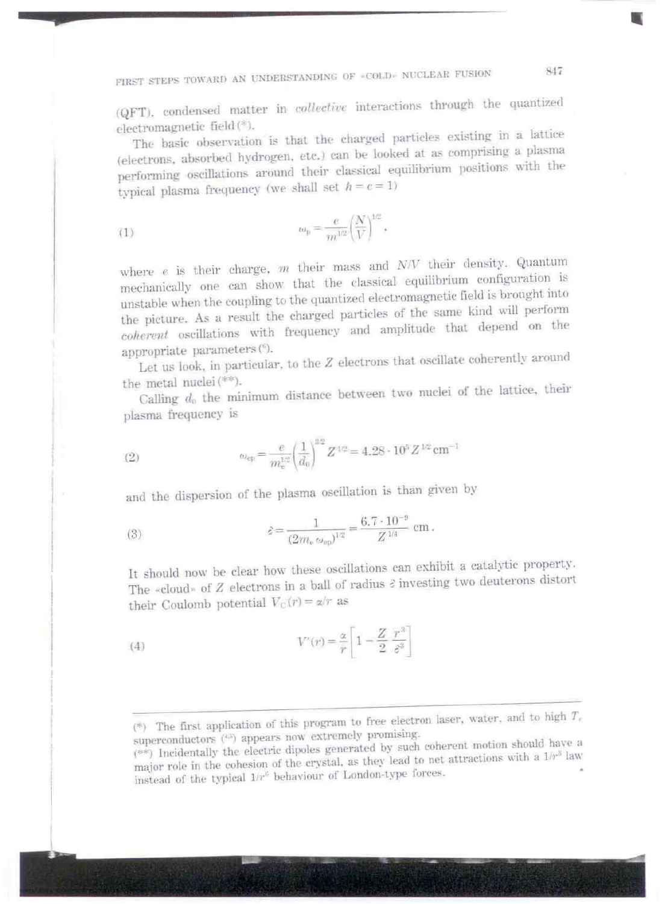FIRST STEPS TOWARD AN UNDERSTANDING OF «COLD» NUCLEAR FUSION

(QFT), condensed matter in *collective* interactions through the quantized electromagnetic field(\*).

The basic observation is that the charged particles existing in a lattice (electrons, absorbed hydrogen, etc.) can be looked at as comprising a plasma performing oscillations around their classical equilibrium positions with the typical plasma frequency (we shall set  $h = c = 1$ )

(1) 
$$
\omega_{\rm p} = \frac{e}{m^{1/2}} \left(\frac{N}{V}\right)^{1/2},
$$

where  $e$  is their charge,  $m$  their mass and  $N/V$  their density. Quantum mechanically one can show that the classical equilibrium configuration is unstable when the coupling to the quantized electromagnetic field is brought into the picture. As a result the charged particles of the same kind will perform coherent oscillations with frequency and amplitude that depend on the appropriate parameters (6).

Let us look, in particular, to the Z electrons that oscillate coherently around the metal nuclei (\*\*).

Calling  $d_0$  the minimum distance between two nuclei of the lattice, their plasma frequency is

(2) 
$$
\omega_{\rm ep} = \frac{e}{m_{\rm e}^{1/2}} \left(\frac{1}{d_0}\right)^{1/2} Z^{1/2} = 4.28 \cdot 10^5 Z^{1/2} \text{ cm}^{-1}
$$

and the dispersion of the plasma oscillation is than given by

(3) 
$$
\hat{c} = \frac{1}{(2m_e \omega_{\rm op})^{1/2}} = \frac{6.7 \cdot 10^{-9}}{Z^{1/4}} \text{ cm}.
$$

It should now be clear how these oscillations can exhibit a catalytic property. The «cloud» of Z electrons in a ball of radius  $\hat{\epsilon}$  investing two deuterons distort their Coulomb potential  $V_{\rm C}(r)=\alpha/r$  as

(4) 
$$
V'(r) = \frac{\alpha}{r} \left[ 1 - \frac{Z}{2} \frac{r^3}{\delta^3} \right]
$$

(\*) The first application of this program to free electron laser, water, and to high  $T_e$ superconductors (4) appears now extremely promising.

847

<sup>(\*\*)</sup> Incidentally the electric dipoles generated by such coherent motion should have a major role in the cohesion of the crystal, as they lead to net attractions with a  $1/r^3$  law instead of the typical  $1/r^6$  behaviour of London-type forces.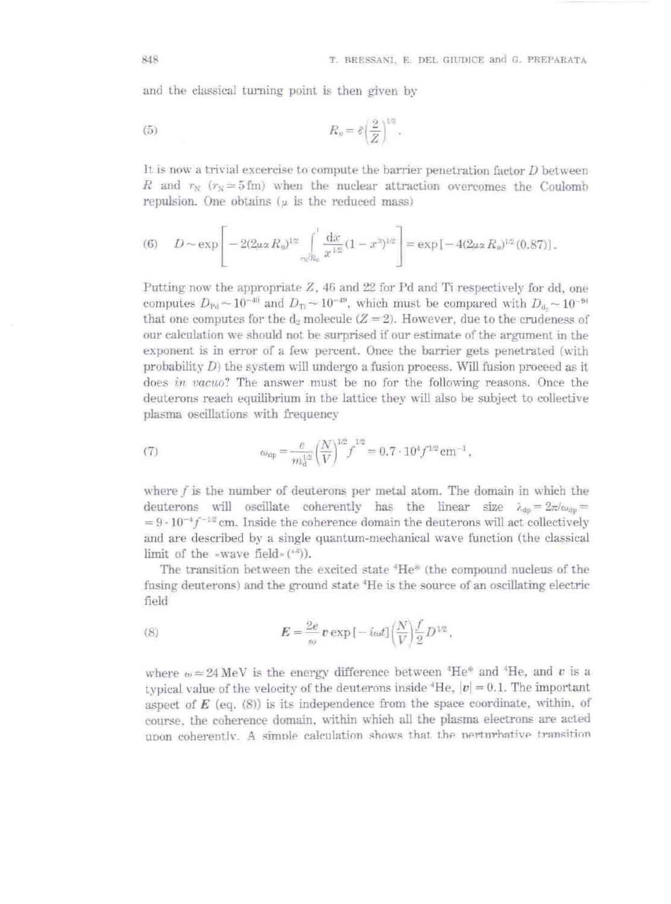and the classical turning point is then given by

(5) 
$$
R_0 = \delta \left(\frac{2}{Z}\right)^{1/3}.
$$

It is now a trivial excercise to compute the barrier penetration factor  $D$  between R and  $r_N$  ( $r_S \approx 5$  fm) when the nuclear attraction overcomes the Coulomb repulsion. One obtains  $(\mu \text{ is the reduced mass})$ 

(6) 
$$
D \sim \exp \left[ -2(2\mu \alpha R_0)^{1/2} \int_{\gamma/k_0}^1 \frac{dx}{x^{1/2}} (1-x^2)^{1/2} \right] = \exp \left[ -4(2\mu \alpha R_0)^{1/2} (0.87) \right].
$$

Putting now the appropriate  $Z$ , 46 and 22 for Pd and Ti respectively for dd. one computes  $D_{\rm Pd} \sim 10^{-40}$  and  $D_{\rm T} \sim 10^{-49}$ , which must be compared with  $D_{\rm dc} \sim 10^{-94}$ that one computes for the  $d_2$  molecule ( $Z = 2$ ). However, due to the crudeness of our calculation we should not be surprised if our estimate of the argument in the exponent is in error of a few percent. Once the barrier gets penetrated (with probability D) the system will undergo a fusion process. Will fusion proceed as it does *in vacuo*? The answer must be no for the following reasons. Once the deuterons reach equilibrium in the lattice they will also be subject to collective plasma oscillations with frequency

(7) 
$$
\omega_{\rm dp} = \frac{e}{m_{\rm d}^{1/2}} \left(\frac{N}{V}\right)^{1/2} f^{1/2} = 0.7 \cdot 10^4 f^{1/2} \,\rm{cm}^{-1},
$$

where  $f$  is the number of deuterons per metal atom. The domain in which the deuterons will oscillate coherently has the linear size  $\lambda_{dp} = 2\pi/\omega_{dp} =$  $= 9 \cdot 10^{-4} f^{-1/2}$  cm. Inside the coherence domain the deuterons will act collectively and are described by a single quantum-mechanical wave function (the classical limit of the «wave field»  $(46)$ ).

The transition between the excited state  ${}^4He^*$  (the compound nucleus of the fusing deuterons) and the ground state <sup>4</sup>He is the source of an oscillating electric field

(8) 
$$
E = \frac{2e}{\omega} v \exp\left[-i\omega t\right] \left(\frac{N}{V}\right) \frac{f}{2} D^{1/2},
$$

where  $\omega \approx 24 \text{ MeV}$  is the energy difference between  $^4\text{He}^*$  and  $^4\text{He}$ , and  $\upsilon$  is a typical value of the velocity of the deuterons inside  ${}^4He$ ,  $|v|=0.1$ . The important aspect of  $E$  (eq.  $(8)$ ) is its independence from the space coordinate, within, of course, the coherence domain, within which all the plasma electrons are acted upon coherently. A simple calculation shows that the perturbative transition